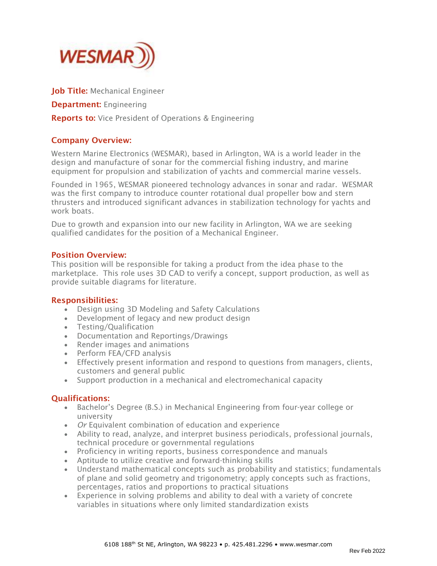

Job Title: Mechanical Engineer

Department: Engineering

**Reports to:** Vice President of Operations & Engineering

# Company Overview:

Western Marine Electronics (WESMAR), based in Arlington, WA is a world leader in the design and manufacture of sonar for the commercial fishing industry, and marine equipment for propulsion and stabilization of yachts and commercial marine vessels.

Founded in 1965, WESMAR pioneered technology advances in sonar and radar. WESMAR was the first company to introduce counter rotational dual propeller bow and stern thrusters and introduced significant advances in stabilization technology for yachts and work boats.

Due to growth and expansion into our new facility in Arlington, WA we are seeking qualified candidates for the position of a Mechanical Engineer.

### Position Overview:

This position will be responsible for taking a product from the idea phase to the marketplace. This role uses 3D CAD to verify a concept, support production, as well as provide suitable diagrams for literature.

## Responsibilities:

- Design using 3D Modeling and Safety Calculations
- Development of legacy and new product design
- Testing/Qualification
- Documentation and Reportings/Drawings
- Render images and animations
- Perform FEA/CFD analysis
- Effectively present information and respond to questions from managers, clients, customers and general public
- Support production in a mechanical and electromechanical capacity

## Qualifications:

- Bachelor's Degree (B.S.) in Mechanical Engineering from four-year college or university
- *Or* Equivalent combination of education and experience
- Ability to read, analyze, and interpret business periodicals, professional journals, technical procedure or governmental regulations
- Proficiency in writing reports, business correspondence and manuals
- Aptitude to utilize creative and forward-thinking skills
- Understand mathematical concepts such as probability and statistics; fundamentals of plane and solid geometry and trigonometry; apply concepts such as fractions, percentages, ratios and proportions to practical situations
- Experience in solving problems and ability to deal with a variety of concrete variables in situations where only limited standardization exists